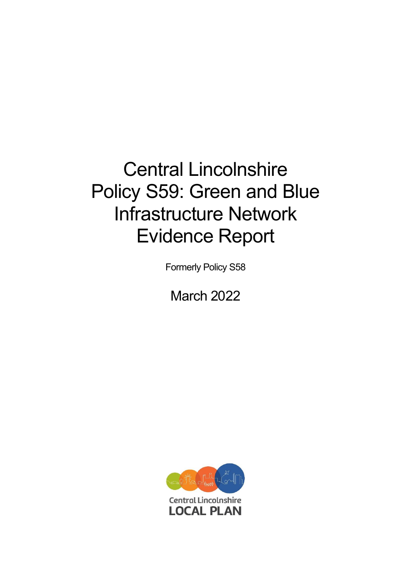# Central Lincolnshire Policy S59: Green and Blue Infrastructure Network Evidence Report

Formerly Policy S58

March 2022

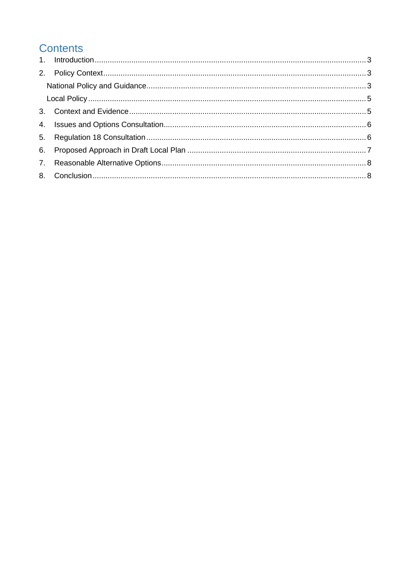# **Contents**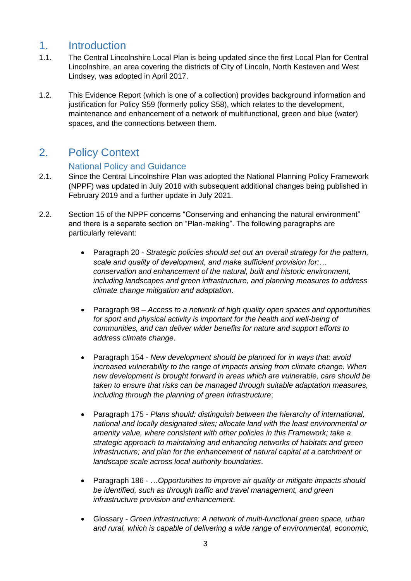## <span id="page-2-0"></span>1. Introduction

- 1.1. The Central Lincolnshire Local Plan is being updated since the first Local Plan for Central Lincolnshire, an area covering the districts of City of Lincoln, North Kesteven and West Lindsey, was adopted in April 2017.
- 1.2. This Evidence Report (which is one of a collection) provides background information and justification for Policy S59 (formerly policy S58), which relates to the development, maintenance and enhancement of a network of multifunctional, green and blue (water) spaces, and the connections between them.

## <span id="page-2-1"></span>2. Policy Context

#### National Policy and Guidance

- <span id="page-2-2"></span>2.1. Since the Central Lincolnshire Plan was adopted the National Planning Policy Framework (NPPF) was updated in July 2018 with subsequent additional changes being published in February 2019 and a further update in July 2021.
- 2.2. Section 15 of the NPPF concerns "Conserving and enhancing the natural environment" and there is a separate section on "Plan-making". The following paragraphs are particularly relevant:
	- Paragraph 20 *Strategic policies should set out an overall strategy for the pattern, scale and quality of development, and make sufficient provision for:… conservation and enhancement of the natural, built and historic environment, including landscapes and green infrastructure, and planning measures to address climate change mitigation and adaptation*.
	- Paragraph 98 *Access to a network of high quality open spaces and opportunities*  for sport and physical activity is important for the health and well-being of *communities, and can deliver wider benefits for nature and support efforts to address climate change*.
	- Paragraph 154 *New development should be planned for in ways that: avoid increased vulnerability to the range of impacts arising from climate change. When new development is brought forward in areas which are vulnerable, care should be taken to ensure that risks can be managed through suitable adaptation measures, including through the planning of green infrastructure*;
	- Paragraph 175 *Plans should: distinguish between the hierarchy of international, national and locally designated sites; allocate land with the least environmental or amenity value, where consistent with other policies in this Framework; take a strategic approach to maintaining and enhancing networks of habitats and green infrastructure; and plan for the enhancement of natural capital at a catchment or landscape scale across local authority boundaries*.
	- Paragraph 186 …*Opportunities to improve air quality or mitigate impacts should be identified, such as through traffic and travel management, and green infrastructure provision and enhancement*.
	- Glossary *Green infrastructure: A network of multi-functional green space, urban and rural, which is capable of delivering a wide range of environmental, economic,*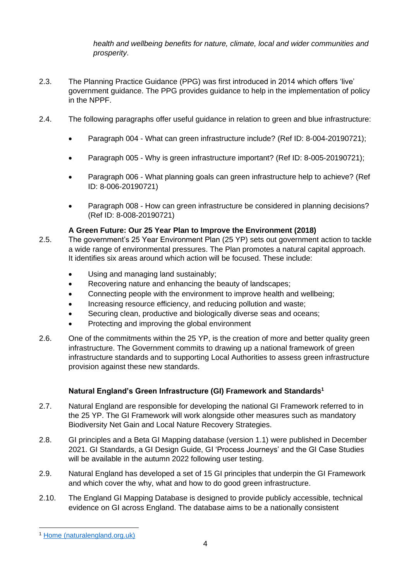*health and wellbeing benefits for nature, climate, local and wider communities and prosperity*.

- 2.3. The Planning Practice Guidance (PPG) was first introduced in 2014 which offers 'live' government guidance. The PPG provides guidance to help in the implementation of policy in the NPPF.
- 2.4. The following paragraphs offer useful guidance in relation to green and blue infrastructure:
	- Paragraph 004 What can green infrastructure include? (Ref ID: 8-004-20190721);
	- Paragraph 005 Why is green infrastructure important? (Ref ID: 8-005-20190721);
	- Paragraph 006 What planning goals can green infrastructure help to achieve? (Ref ID: 8-006-20190721)
	- Paragraph 008 How can green infrastructure be considered in planning decisions? (Ref ID: 8-008-20190721)

#### **A Green Future: Our 25 Year Plan to Improve the Environment (2018)**

- 2.5. The government's 25 Year Environment Plan (25 YP) sets out government action to tackle a wide range of environmental pressures. The Plan promotes a natural capital approach. It identifies six areas around which action will be focused. These include:
	- Using and managing land sustainably;
	- Recovering nature and enhancing the beauty of landscapes;
	- Connecting people with the environment to improve health and wellbeing;
	- Increasing resource efficiency, and reducing pollution and waste;
	- Securing clean, productive and biologically diverse seas and oceans;
	- Protecting and improving the global environment
- 2.6. One of the commitments within the 25 YP, is the creation of more and better quality green infrastructure. The Government commits to drawing up a national framework of green infrastructure standards and to supporting Local Authorities to assess green infrastructure provision against these new standards.

#### **Natural England's Green Infrastructure (GI) Framework and Standards<sup>1</sup>**

- 2.7. Natural England are responsible for developing the national GI Framework referred to in the 25 YP. The GI Framework will work alongside other measures such as mandatory Biodiversity Net Gain and Local Nature Recovery Strategies.
- 2.8. GI principles and a Beta GI Mapping database (version 1.1) were published in December 2021. GI Standards, a GI Design Guide, GI 'Process Journeys' and the GI Case Studies will be available in the autumn 2022 following user testing.
- 2.9. Natural England has developed a set of 15 GI principles that underpin the GI Framework and which cover the why, what and how to do good green infrastructure.
- 2.10. The England GI Mapping Database is designed to provide publicly accessible, technical evidence on GI across England. The database aims to be a nationally consistent

<sup>1</sup> [Home \(naturalengland.org.uk\)](https://designatedsites.naturalengland.org.uk/GreenInfrastructure/Home.aspx)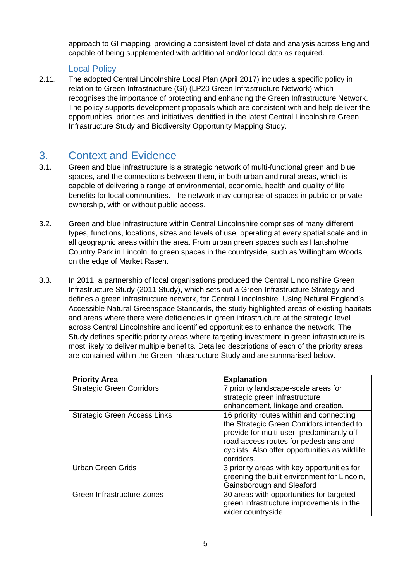approach to GI mapping, providing a consistent level of data and analysis across England capable of being supplemented with additional and/or local data as required.

#### Local Policy

<span id="page-4-0"></span>2.11. The adopted Central Lincolnshire Local Plan (April 2017) includes a specific policy in relation to Green Infrastructure (GI) (LP20 Green Infrastructure Network) which recognises the importance of protecting and enhancing the Green Infrastructure Network. The policy supports development proposals which are consistent with and help deliver the opportunities, priorities and initiatives identified in the latest Central Lincolnshire Green Infrastructure Study and Biodiversity Opportunity Mapping Study.

# <span id="page-4-1"></span>3. Context and Evidence

- 3.1. Green and blue infrastructure is a strategic network of multi-functional green and blue spaces, and the connections between them, in both urban and rural areas, which is capable of delivering a range of environmental, economic, health and quality of life benefits for local communities. The network may comprise of spaces in public or private ownership, with or without public access.
- 3.2. Green and blue infrastructure within Central Lincolnshire comprises of many different types, functions, locations, sizes and levels of use, operating at every spatial scale and in all geographic areas within the area. From urban green spaces such as Hartsholme Country Park in Lincoln, to green spaces in the countryside, such as Willingham Woods on the edge of Market Rasen.
- 3.3. In 2011, a partnership of local organisations produced the Central Lincolnshire Green Infrastructure Study (2011 Study), which sets out a Green Infrastructure Strategy and defines a green infrastructure network, for Central Lincolnshire. Using Natural England's Accessible Natural Greenspace Standards, the study highlighted areas of existing habitats and areas where there were deficiencies in green infrastructure at the strategic level across Central Lincolnshire and identified opportunities to enhance the network. The Study defines specific priority areas where targeting investment in green infrastructure is most likely to deliver multiple benefits. Detailed descriptions of each of the priority areas are contained within the Green Infrastructure Study and are summarised below.

| <b>Priority Area</b>                | <b>Explanation</b>                             |
|-------------------------------------|------------------------------------------------|
| <b>Strategic Green Corridors</b>    | 7 priority landscape-scale areas for           |
|                                     | strategic green infrastructure                 |
|                                     | enhancement, linkage and creation.             |
| <b>Strategic Green Access Links</b> | 16 priority routes within and connecting       |
|                                     | the Strategic Green Corridors intended to      |
|                                     | provide for multi-user, predominantly off      |
|                                     | road access routes for pedestrians and         |
|                                     | cyclists. Also offer opportunities as wildlife |
|                                     | corridors.                                     |
| <b>Urban Green Grids</b>            | 3 priority areas with key opportunities for    |
|                                     | greening the built environment for Lincoln,    |
|                                     | Gainsborough and Sleaford                      |
| Green Infrastructure Zones          | 30 areas with opportunities for targeted       |
|                                     | green infrastructure improvements in the       |
|                                     | wider countryside                              |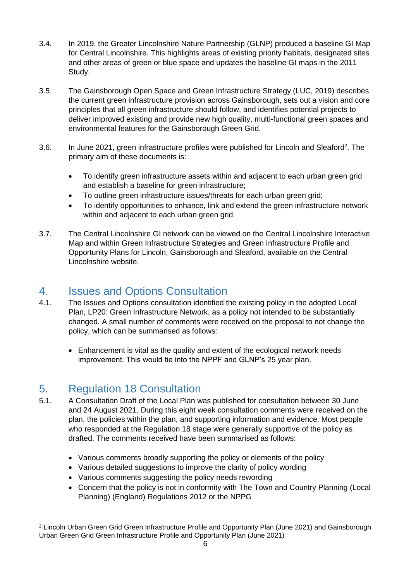- 3.4. In 2019, the Greater Lincolnshire Nature Partnership (GLNP) produced a baseline GI Map for Central Lincolnshire. This highlights areas of existing priority habitats, designated sites and other areas of green or blue space and updates the baseline GI maps in the 2011 Study.
- 3.5. The Gainsborough Open Space and Green Infrastructure Strategy (LUC, 2019) describes the current green infrastructure provision across Gainsborough, sets out a vision and core principles that all green infrastructure should follow, and identifies potential projects to deliver improved existing and provide new high quality, multi-functional green spaces and environmental features for the Gainsborough Green Grid.
- 3.6. In June 2021, green infrastructure profiles were published for Lincoln and Sleaford<sup>2</sup>. The primary aim of these documents is:
	- To identify green infrastructure assets within and adjacent to each urban green grid and establish a baseline for green infrastructure;
	- To outline green infrastructure issues/threats for each urban green grid;
	- To identify opportunities to enhance, link and extend the green infrastructure network within and adiacent to each urban green grid.
- 3.7. The Central Lincolnshire GI network can be viewed on the Central Lincolnshire Interactive Map and within Green Infrastructure Strategies and Green Infrastructure Profile and Opportunity Plans for Lincoln, Gainsborough and Sleaford, available on the Central Lincolnshire website.

### <span id="page-5-0"></span>4. Issues and Options Consultation

- 4.1. The Issues and Options consultation identified the existing policy in the adopted Local Plan, LP20: Green Infrastructure Network, as a policy not intended to be substantially changed. A small number of comments were received on the proposal to not change the policy, which can be summarised as follows:
	- Enhancement is vital as the quality and extent of the ecological network needs improvement. This would tie into the NPPF and GLNP's 25 year plan.

## <span id="page-5-1"></span>5. Regulation 18 Consultation

- 5.1. A Consultation Draft of the Local Plan was published for consultation between 30 June and 24 August 2021. During this eight week consultation comments were received on the plan, the policies within the plan, and supporting information and evidence. Most people who responded at the Regulation 18 stage were generally supportive of the policy as drafted. The comments received have been summarised as follows:
	- Various comments broadly supporting the policy or elements of the policy
	- Various detailed suggestions to improve the clarity of policy wording
	- Various comments suggesting the policy needs rewording
	- Concern that the policy is not in conformity with The Town and Country Planning (Local Planning) (England) Regulations 2012 or the NPPG

<sup>2</sup> Lincoln Urban Green Grid Green Infrastructure Profile and Opportunity Plan (June 2021) and Gainsborough Urban Green Grid Green Infrastructure Profile and Opportunity Plan (June 2021)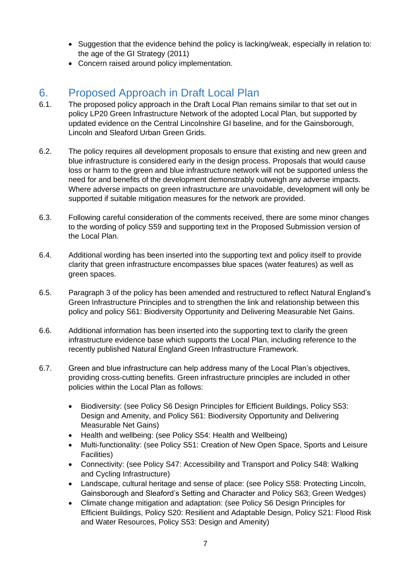- Suggestion that the evidence behind the policy is lacking/weak, especially in relation to: the age of the GI Strategy (2011)
- Concern raised around policy implementation.

# <span id="page-6-0"></span>6. Proposed Approach in Draft Local Plan

- 6.1. The proposed policy approach in the Draft Local Plan remains similar to that set out in policy LP20 Green Infrastructure Network of the adopted Local Plan, but supported by updated evidence on the Central Lincolnshire GI baseline, and for the Gainsborough, Lincoln and Sleaford Urban Green Grids.
- 6.2. The policy requires all development proposals to ensure that existing and new green and blue infrastructure is considered early in the design process. Proposals that would cause loss or harm to the green and blue infrastructure network will not be supported unless the need for and benefits of the development demonstrably outweigh any adverse impacts. Where adverse impacts on green infrastructure are unavoidable, development will only be supported if suitable mitigation measures for the network are provided.
- 6.3. Following careful consideration of the comments received, there are some minor changes to the wording of policy S59 and supporting text in the Proposed Submission version of the Local Plan.
- 6.4. Additional wording has been inserted into the supporting text and policy itself to provide clarity that green infrastructure encompasses blue spaces (water features) as well as green spaces.
- 6.5. Paragraph 3 of the policy has been amended and restructured to reflect Natural England's Green Infrastructure Principles and to strengthen the link and relationship between this policy and policy S61: Biodiversity Opportunity and Delivering Measurable Net Gains.
- 6.6. Additional information has been inserted into the supporting text to clarify the green infrastructure evidence base which supports the Local Plan, including reference to the recently published Natural England Green Infrastructure Framework.
- 6.7. Green and blue infrastructure can help address many of the Local Plan's objectives, providing cross-cutting benefits. Green infrastructure principles are included in other policies within the Local Plan as follows:
	- Biodiversity: (see Policy S6 Design Principles for Efficient Buildings, Policy S53: Design and Amenity, and Policy S61: Biodiversity Opportunity and Delivering Measurable Net Gains)
	- Health and wellbeing: (see Policy S54: Health and Wellbeing)
	- Multi-functionality: (see Policy S51: Creation of New Open Space, Sports and Leisure Facilities)
	- Connectivity: (see Policy S47: Accessibility and Transport and Policy S48: Walking and Cycling Infrastructure)
	- Landscape, cultural heritage and sense of place: (see Policy S58: Protecting Lincoln, Gainsborough and Sleaford's Setting and Character and Policy S63; Green Wedges)
	- Climate change mitigation and adaptation: (see Policy S6 Design Principles for Efficient Buildings, Policy S20: Resilient and Adaptable Design, Policy S21: Flood Risk and Water Resources, Policy S53: Design and Amenity)